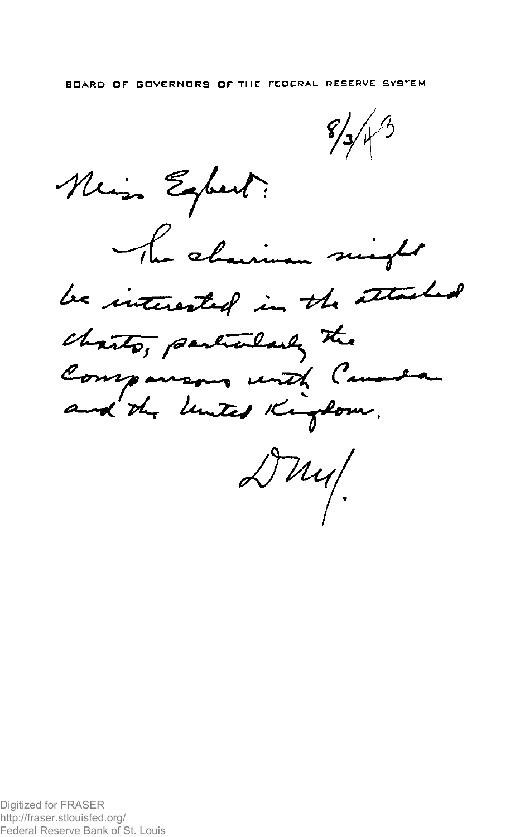Neis Expert: The chairman singlet <u>E</u>led be interested in the att charts, particularly the Companisons until Canada  $\triangle \mu$ u/

Digitized for FRASER http://fraser.stlouisfed.org/ Federal Reserve Bank of St. Louis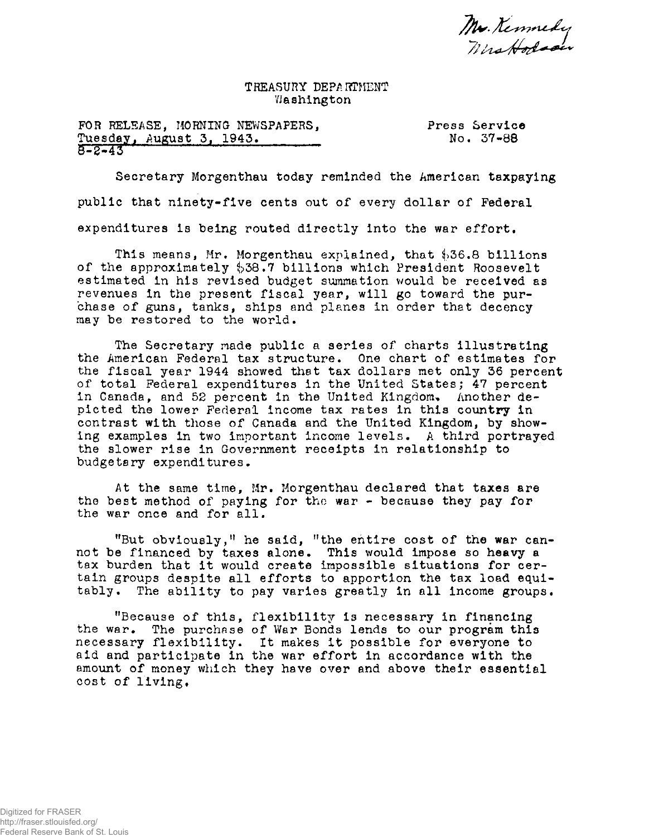Mr. Kennedy<br>Mrs Hodson

TREASURY DEPARTMENT VJashington

FOR RELEASE, MORNING NEWSPAPERS, Press Service<br>Tuesday, August 3, 1943. Press No. 37-88 Tuesday, August 3, 1943. 8-2-43

Secretary Morgenthau today reminded the American taxpaying public that ninety-five cents out of every dollar of Federal expenditures is being routed directly into the war effort.

This means, Mr. Morgenthau explained, that  $$36.8$  billions of the approximately  $$38.7$  billions which President Roosevelt estimated in his revised budget summation would be received as revenues In the present fiscal year, will go toward the purchase of guns, tanks, ships and planes in order that decency may be restored to the world.

The Secretary made public a series of charts illustrating the American Federal tax structure. One chart of estimates for the fiscal year 1944 showed that tax dollars met only 36 percent of total Federal expenditures in the United States; 47 percent in Canada, and 52 percent in the United Kingdom. Another depicted the lower Federal income tax rates in this country in contrast with those of Canada and the United Kingdom, by showing examples in two important income levels. A third portrayed the slower rise in Government receipts in relationship to budgetary expenditures.

At the same time, Mr. Morgenthau declared that taxes are the best method of paying for the war - because they pay for the war once and for all.

"But obviously," he said, "the entire cost of the war cannot be financed by taxes alone. This would impose so heavy a tax burden that it would create impossible situations for certain groups despite all efforts to apportion the tax load equitably. The ability to pay varies greatly in all income groups.

"Because of this, flexibility is necessary in financing the war. The purchase of War Bonds lends to our program this necessary flexibility. It makes it possible for everyone to aid and participate in the war effort in accordance with the amount of money which they have over and above their essential cost of living.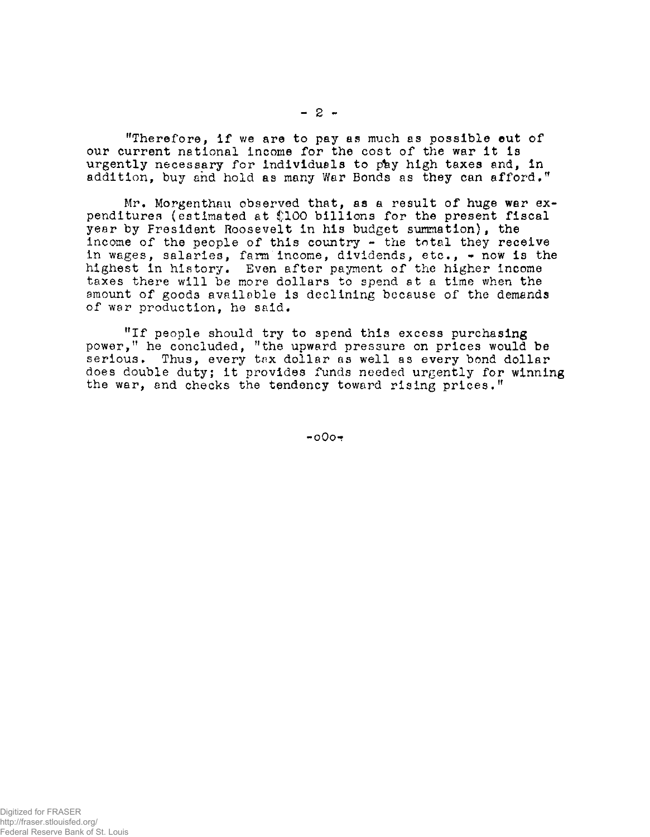"Therefore, if we are to pay as much as possible eut of our current national Income for the cost of the war it Is urgently necessary for individuals to pay high taxes and, in addition, buy and hold as many War Bonds as they can afford."

Mr. Morgenthau observed that, as a result of huge war expenditures (estimated at \$100 billions for the present fiscal year by Fresident Roosevelt in his budget summation), the income of the people of this country - the total they receive in wages, salaries, farm income, dividends, etc.,  $\sim$  now is the highest in history. Even after payment of the higher income taxes there will be more dollars to spend at a time when the amount of goods available is declining because of the demands of war production, he said.

"If people should try to spend this excess purchasing power," he concluded, "the upward pressure on prices would be serious. Thus, every tax dollar as well as every bond dollar does double duty; it provides funds needed urgently for winning the war, and checks the tendency toward rising prices."

 $-000+$ 

**- 2 -**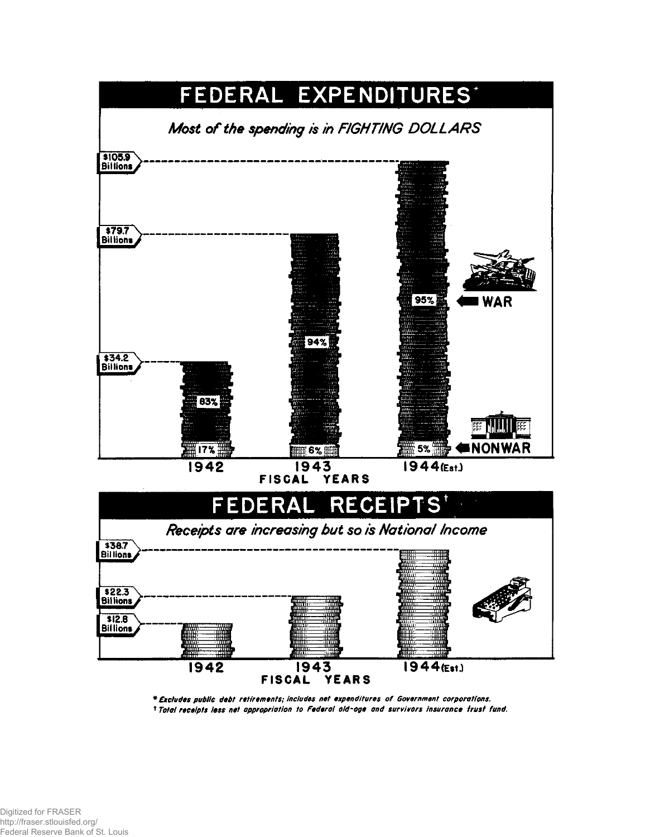

\* Excludes public debt retirements; includes net expenditures of Government corporations. <sup>1</sup> Total receipts less net appropriation to Federal old-oge and survivors insurance frust fund.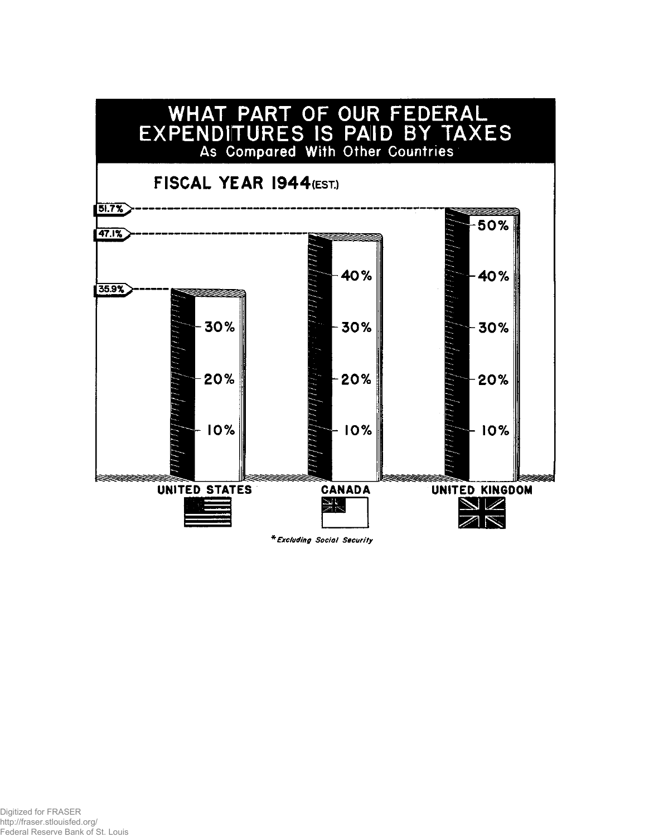